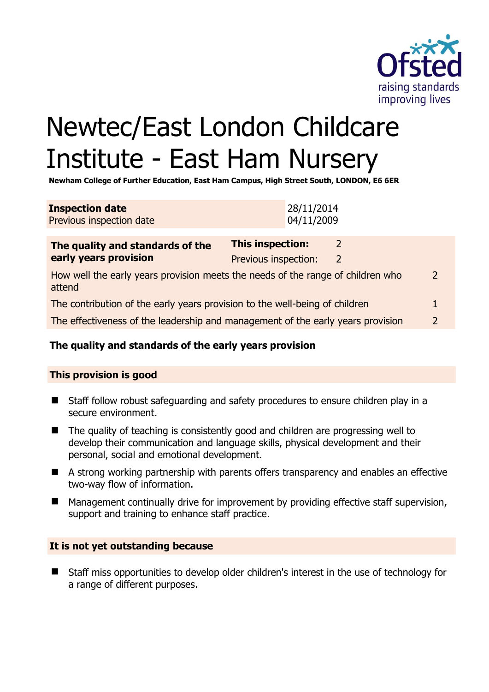

# Newtec/East London Childcare Institute - East Ham Nursery

**Newham College of Further Education, East Ham Campus, High Street South, LONDON, E6 6ER** 

| <b>Inspection date</b>   | 28/11/2014 |
|--------------------------|------------|
| Previous inspection date | 04/11/2009 |

| The quality and standards of the<br>early years provision                                 | <b>This inspection:</b> |   |               |
|-------------------------------------------------------------------------------------------|-------------------------|---|---------------|
|                                                                                           | Previous inspection:    | 2 |               |
| How well the early years provision meets the needs of the range of children who<br>attend |                         |   |               |
| The contribution of the early years provision to the well-being of children               |                         |   |               |
| The effectiveness of the leadership and management of the early years provision           |                         |   | $\mathcal{P}$ |

# **The quality and standards of the early years provision**

#### **This provision is good**

- Staff follow robust safeguarding and safety procedures to ensure children play in a secure environment.
- The quality of teaching is consistently good and children are progressing well to develop their communication and language skills, physical development and their personal, social and emotional development.
- A strong working partnership with parents offers transparency and enables an effective two-way flow of information.
- Management continually drive for improvement by providing effective staff supervision, support and training to enhance staff practice.

#### **It is not yet outstanding because**

■ Staff miss opportunities to develop older children's interest in the use of technology for a range of different purposes.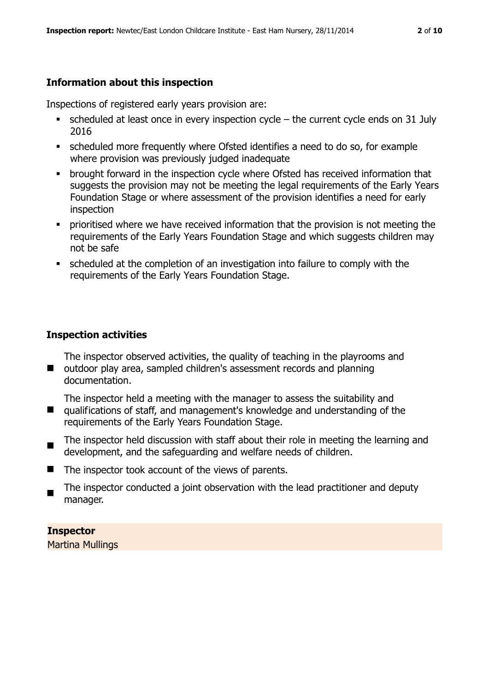### **Information about this inspection**

Inspections of registered early years provision are:

- $\bullet$  scheduled at least once in every inspection cycle the current cycle ends on 31 July 2016
- scheduled more frequently where Ofsted identifies a need to do so, for example where provision was previously judged inadequate
- **•** brought forward in the inspection cycle where Ofsted has received information that suggests the provision may not be meeting the legal requirements of the Early Years Foundation Stage or where assessment of the provision identifies a need for early inspection
- **•** prioritised where we have received information that the provision is not meeting the requirements of the Early Years Foundation Stage and which suggests children may not be safe
- scheduled at the completion of an investigation into failure to comply with the requirements of the Early Years Foundation Stage.

#### **Inspection activities**

■ outdoor play area, sampled children's assessment records and planning The inspector observed activities, the quality of teaching in the playrooms and documentation.

 $\blacksquare$ The inspector held a meeting with the manager to assess the suitability and qualifications of staff, and management's knowledge and understanding of the requirements of the Early Years Foundation Stage.

- $\blacksquare$ The inspector held discussion with staff about their role in meeting the learning and development, and the safeguarding and welfare needs of children.
- The inspector took account of the views of parents.
- The inspector conducted a joint observation with the lead practitioner and deputy manager.

**Inspector** 

Martina Mullings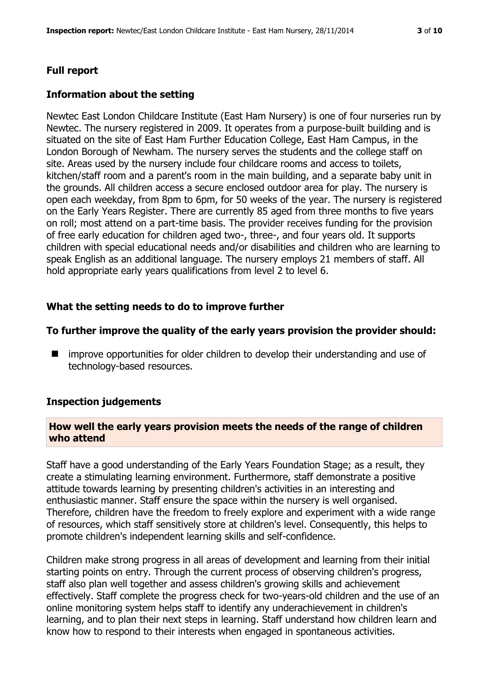# **Full report**

#### **Information about the setting**

Newtec East London Childcare Institute (East Ham Nursery) is one of four nurseries run by Newtec. The nursery registered in 2009. It operates from a purpose-built building and is situated on the site of East Ham Further Education College, East Ham Campus, in the London Borough of Newham. The nursery serves the students and the college staff on site. Areas used by the nursery include four childcare rooms and access to toilets, kitchen/staff room and a parent's room in the main building, and a separate baby unit in the grounds. All children access a secure enclosed outdoor area for play. The nursery is open each weekday, from 8pm to 6pm, for 50 weeks of the year. The nursery is registered on the Early Years Register. There are currently 85 aged from three months to five years on roll; most attend on a part-time basis. The provider receives funding for the provision of free early education for children aged two-, three-, and four years old. It supports children with special educational needs and/or disabilities and children who are learning to speak English as an additional language. The nursery employs 21 members of staff. All hold appropriate early years qualifications from level 2 to level 6.

# **What the setting needs to do to improve further**

#### **To further improve the quality of the early years provision the provider should:**

**I** improve opportunities for older children to develop their understanding and use of technology-based resources.

#### **Inspection judgements**

#### **How well the early years provision meets the needs of the range of children who attend**

Staff have a good understanding of the Early Years Foundation Stage; as a result, they create a stimulating learning environment. Furthermore, staff demonstrate a positive attitude towards learning by presenting children's activities in an interesting and enthusiastic manner. Staff ensure the space within the nursery is well organised. Therefore, children have the freedom to freely explore and experiment with a wide range of resources, which staff sensitively store at children's level. Consequently, this helps to promote children's independent learning skills and self-confidence.

Children make strong progress in all areas of development and learning from their initial starting points on entry. Through the current process of observing children's progress, staff also plan well together and assess children's growing skills and achievement effectively. Staff complete the progress check for two-years-old children and the use of an online monitoring system helps staff to identify any underachievement in children's learning, and to plan their next steps in learning. Staff understand how children learn and know how to respond to their interests when engaged in spontaneous activities.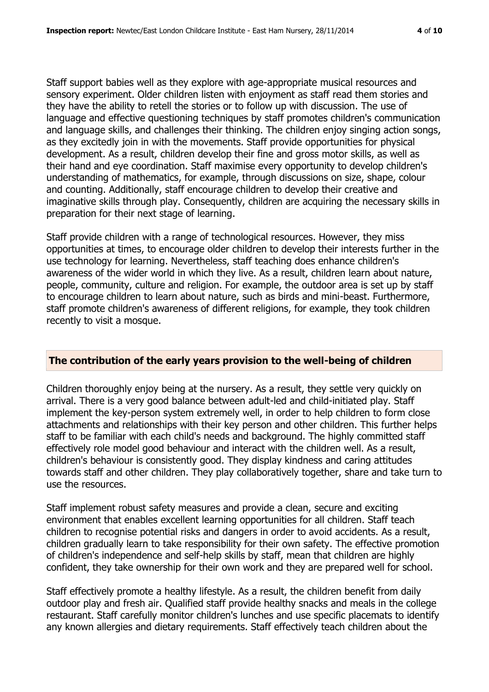Staff support babies well as they explore with age-appropriate musical resources and sensory experiment. Older children listen with enjoyment as staff read them stories and they have the ability to retell the stories or to follow up with discussion. The use of language and effective questioning techniques by staff promotes children's communication and language skills, and challenges their thinking. The children enjoy singing action songs, as they excitedly join in with the movements. Staff provide opportunities for physical development. As a result, children develop their fine and gross motor skills, as well as their hand and eye coordination. Staff maximise every opportunity to develop children's understanding of mathematics, for example, through discussions on size, shape, colour and counting. Additionally, staff encourage children to develop their creative and imaginative skills through play. Consequently, children are acquiring the necessary skills in preparation for their next stage of learning.

Staff provide children with a range of technological resources. However, they miss opportunities at times, to encourage older children to develop their interests further in the use technology for learning. Nevertheless, staff teaching does enhance children's awareness of the wider world in which they live. As a result, children learn about nature, people, community, culture and religion. For example, the outdoor area is set up by staff to encourage children to learn about nature, such as birds and mini-beast. Furthermore, staff promote children's awareness of different religions, for example, they took children recently to visit a mosque.

#### **The contribution of the early years provision to the well-being of children**

Children thoroughly enjoy being at the nursery. As a result, they settle very quickly on arrival. There is a very good balance between adult-led and child-initiated play. Staff implement the key-person system extremely well, in order to help children to form close attachments and relationships with their key person and other children. This further helps staff to be familiar with each child's needs and background. The highly committed staff effectively role model good behaviour and interact with the children well. As a result, children's behaviour is consistently good. They display kindness and caring attitudes towards staff and other children. They play collaboratively together, share and take turn to use the resources.

Staff implement robust safety measures and provide a clean, secure and exciting environment that enables excellent learning opportunities for all children. Staff teach children to recognise potential risks and dangers in order to avoid accidents. As a result, children gradually learn to take responsibility for their own safety. The effective promotion of children's independence and self-help skills by staff, mean that children are highly confident, they take ownership for their own work and they are prepared well for school.

Staff effectively promote a healthy lifestyle. As a result, the children benefit from daily outdoor play and fresh air. Qualified staff provide healthy snacks and meals in the college restaurant. Staff carefully monitor children's lunches and use specific placemats to identify any known allergies and dietary requirements. Staff effectively teach children about the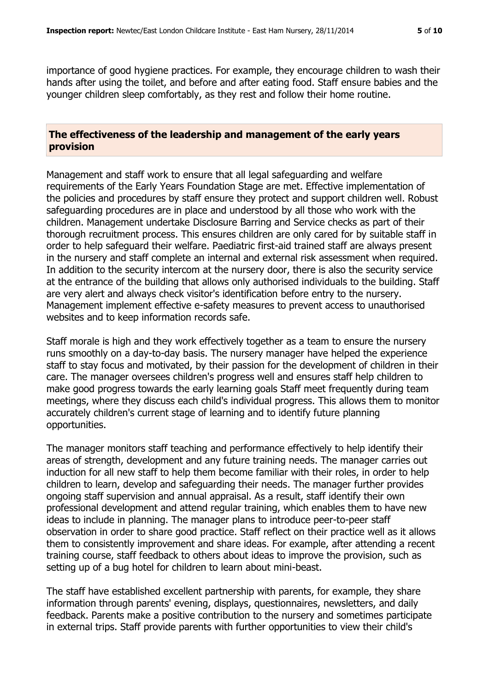importance of good hygiene practices. For example, they encourage children to wash their hands after using the toilet, and before and after eating food. Staff ensure babies and the younger children sleep comfortably, as they rest and follow their home routine.

#### **The effectiveness of the leadership and management of the early years provision**

Management and staff work to ensure that all legal safeguarding and welfare requirements of the Early Years Foundation Stage are met. Effective implementation of the policies and procedures by staff ensure they protect and support children well. Robust safeguarding procedures are in place and understood by all those who work with the children. Management undertake Disclosure Barring and Service checks as part of their thorough recruitment process. This ensures children are only cared for by suitable staff in order to help safeguard their welfare. Paediatric first-aid trained staff are always present in the nursery and staff complete an internal and external risk assessment when required. In addition to the security intercom at the nursery door, there is also the security service at the entrance of the building that allows only authorised individuals to the building. Staff are very alert and always check visitor's identification before entry to the nursery. Management implement effective e-safety measures to prevent access to unauthorised websites and to keep information records safe.

Staff morale is high and they work effectively together as a team to ensure the nursery runs smoothly on a day-to-day basis. The nursery manager have helped the experience staff to stay focus and motivated, by their passion for the development of children in their care. The manager oversees children's progress well and ensures staff help children to make good progress towards the early learning goals Staff meet frequently during team meetings, where they discuss each child's individual progress. This allows them to monitor accurately children's current stage of learning and to identify future planning opportunities.

The manager monitors staff teaching and performance effectively to help identify their areas of strength, development and any future training needs. The manager carries out induction for all new staff to help them become familiar with their roles, in order to help children to learn, develop and safeguarding their needs. The manager further provides ongoing staff supervision and annual appraisal. As a result, staff identify their own professional development and attend regular training, which enables them to have new ideas to include in planning. The manager plans to introduce peer-to-peer staff observation in order to share good practice. Staff reflect on their practice well as it allows them to consistently improvement and share ideas. For example, after attending a recent training course, staff feedback to others about ideas to improve the provision, such as setting up of a bug hotel for children to learn about mini-beast.

The staff have established excellent partnership with parents, for example, they share information through parents' evening, displays, questionnaires, newsletters, and daily feedback. Parents make a positive contribution to the nursery and sometimes participate in external trips. Staff provide parents with further opportunities to view their child's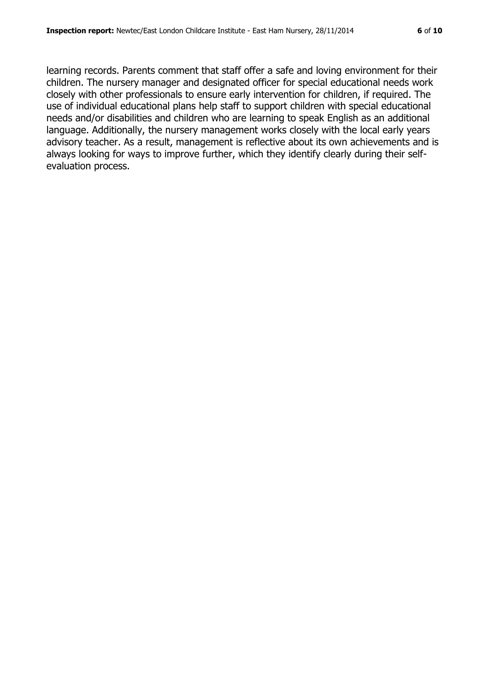learning records. Parents comment that staff offer a safe and loving environment for their children. The nursery manager and designated officer for special educational needs work closely with other professionals to ensure early intervention for children, if required. The use of individual educational plans help staff to support children with special educational needs and/or disabilities and children who are learning to speak English as an additional language. Additionally, the nursery management works closely with the local early years advisory teacher. As a result, management is reflective about its own achievements and is always looking for ways to improve further, which they identify clearly during their selfevaluation process.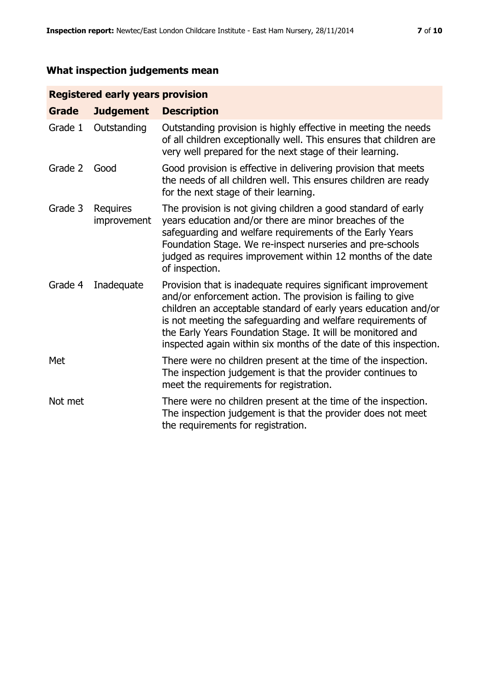# **What inspection judgements mean**

### **Registered early years provision**

| <b>Grade</b> | <b>Judgement</b>               | <b>Description</b>                                                                                                                                                                                                                                                                                                                                                                                |
|--------------|--------------------------------|---------------------------------------------------------------------------------------------------------------------------------------------------------------------------------------------------------------------------------------------------------------------------------------------------------------------------------------------------------------------------------------------------|
| Grade 1      | Outstanding                    | Outstanding provision is highly effective in meeting the needs<br>of all children exceptionally well. This ensures that children are<br>very well prepared for the next stage of their learning.                                                                                                                                                                                                  |
| Grade 2      | Good                           | Good provision is effective in delivering provision that meets<br>the needs of all children well. This ensures children are ready<br>for the next stage of their learning.                                                                                                                                                                                                                        |
| Grade 3      | <b>Requires</b><br>improvement | The provision is not giving children a good standard of early<br>years education and/or there are minor breaches of the<br>safeguarding and welfare requirements of the Early Years<br>Foundation Stage. We re-inspect nurseries and pre-schools<br>judged as requires improvement within 12 months of the date<br>of inspection.                                                                 |
| Grade 4      | Inadequate                     | Provision that is inadequate requires significant improvement<br>and/or enforcement action. The provision is failing to give<br>children an acceptable standard of early years education and/or<br>is not meeting the safeguarding and welfare requirements of<br>the Early Years Foundation Stage. It will be monitored and<br>inspected again within six months of the date of this inspection. |
| Met          |                                | There were no children present at the time of the inspection.<br>The inspection judgement is that the provider continues to<br>meet the requirements for registration.                                                                                                                                                                                                                            |
| Not met      |                                | There were no children present at the time of the inspection.<br>The inspection judgement is that the provider does not meet<br>the requirements for registration.                                                                                                                                                                                                                                |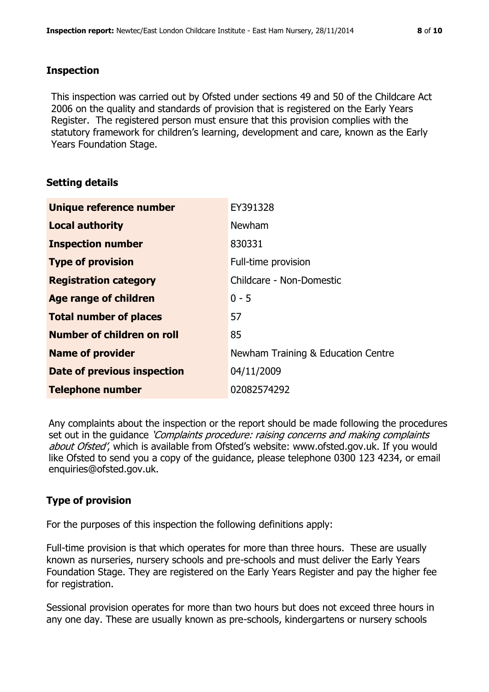#### **Inspection**

This inspection was carried out by Ofsted under sections 49 and 50 of the Childcare Act 2006 on the quality and standards of provision that is registered on the Early Years Register. The registered person must ensure that this provision complies with the statutory framework for children's learning, development and care, known as the Early Years Foundation Stage.

#### **Setting details**

| Unique reference number       | EY391328                           |
|-------------------------------|------------------------------------|
| <b>Local authority</b>        | Newham                             |
| <b>Inspection number</b>      | 830331                             |
| <b>Type of provision</b>      | Full-time provision                |
| <b>Registration category</b>  | Childcare - Non-Domestic           |
| Age range of children         | $0 - 5$                            |
| <b>Total number of places</b> | 57                                 |
| Number of children on roll    | 85                                 |
| <b>Name of provider</b>       | Newham Training & Education Centre |
| Date of previous inspection   | 04/11/2009                         |
| <b>Telephone number</b>       | 02082574292                        |

Any complaints about the inspection or the report should be made following the procedures set out in the guidance *'Complaints procedure: raising concerns and making complaints* about Ofsted', which is available from Ofsted's website: www.ofsted.gov.uk. If you would like Ofsted to send you a copy of the guidance, please telephone 0300 123 4234, or email enquiries@ofsted.gov.uk.

#### **Type of provision**

For the purposes of this inspection the following definitions apply:

Full-time provision is that which operates for more than three hours. These are usually known as nurseries, nursery schools and pre-schools and must deliver the Early Years Foundation Stage. They are registered on the Early Years Register and pay the higher fee for registration.

Sessional provision operates for more than two hours but does not exceed three hours in any one day. These are usually known as pre-schools, kindergartens or nursery schools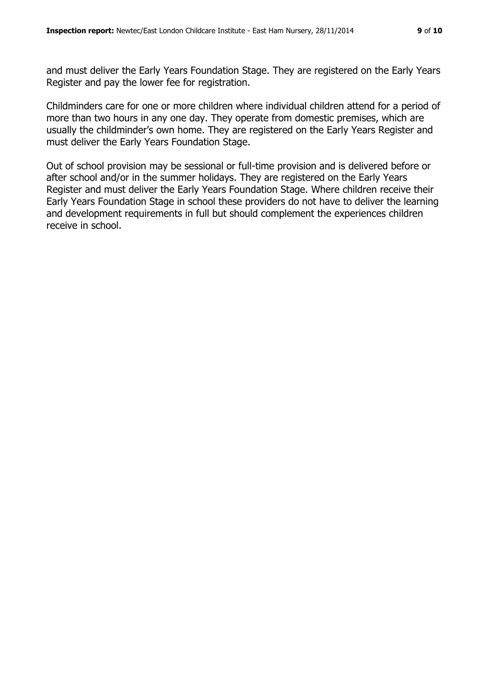and must deliver the Early Years Foundation Stage. They are registered on the Early Years Register and pay the lower fee for registration.

Childminders care for one or more children where individual children attend for a period of more than two hours in any one day. They operate from domestic premises, which are usually the childminder's own home. They are registered on the Early Years Register and must deliver the Early Years Foundation Stage.

Out of school provision may be sessional or full-time provision and is delivered before or after school and/or in the summer holidays. They are registered on the Early Years Register and must deliver the Early Years Foundation Stage. Where children receive their Early Years Foundation Stage in school these providers do not have to deliver the learning and development requirements in full but should complement the experiences children receive in school.